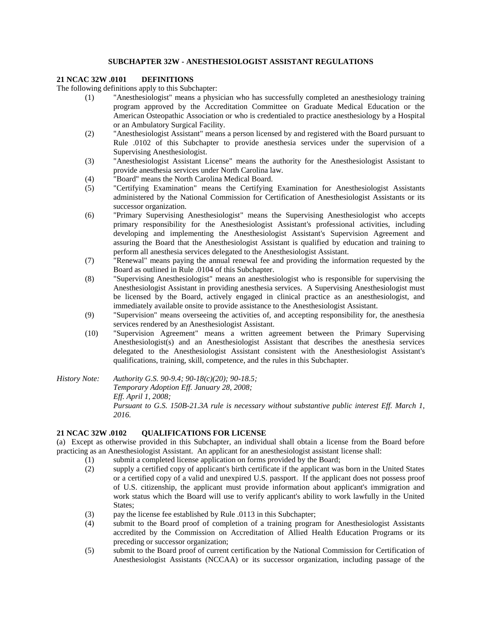#### **SUBCHAPTER 32W - ANESTHESIOLOGIST ASSISTANT REGULATIONS**

## **21 NCAC 32W .0101 DEFINITIONS**

The following definitions apply to this Subchapter:

- (1) "Anesthesiologist" means a physician who has successfully completed an anesthesiology training program approved by the Accreditation Committee on Graduate Medical Education or the American Osteopathic Association or who is credentialed to practice anesthesiology by a Hospital or an Ambulatory Surgical Facility.
- (2) "Anesthesiologist Assistant" means a person licensed by and registered with the Board pursuant to Rule .0102 of this Subchapter to provide anesthesia services under the supervision of a Supervising Anesthesiologist.
- (3) "Anesthesiologist Assistant License" means the authority for the Anesthesiologist Assistant to provide anesthesia services under North Carolina law.
- (4) "Board" means the North Carolina Medical Board.
- (5) "Certifying Examination" means the Certifying Examination for Anesthesiologist Assistants administered by the National Commission for Certification of Anesthesiologist Assistants or its successor organization.
- (6) "Primary Supervising Anesthesiologist" means the Supervising Anesthesiologist who accepts primary responsibility for the Anesthesiologist Assistant's professional activities, including developing and implementing the Anesthesiologist Assistant's Supervision Agreement and assuring the Board that the Anesthesiologist Assistant is qualified by education and training to perform all anesthesia services delegated to the Anesthesiologist Assistant.
- (7) "Renewal" means paying the annual renewal fee and providing the information requested by the Board as outlined in Rule .0104 of this Subchapter.
- (8) "Supervising Anesthesiologist" means an anesthesiologist who is responsible for supervising the Anesthesiologist Assistant in providing anesthesia services. A Supervising Anesthesiologist must be licensed by the Board, actively engaged in clinical practice as an anesthesiologist, and immediately available onsite to provide assistance to the Anesthesiologist Assistant.
- (9) "Supervision" means overseeing the activities of, and accepting responsibility for, the anesthesia services rendered by an Anesthesiologist Assistant.
- (10) "Supervision Agreement" means a written agreement between the Primary Supervising Anesthesiologist(s) and an Anesthesiologist Assistant that describes the anesthesia services delegated to the Anesthesiologist Assistant consistent with the Anesthesiologist Assistant's qualifications, training, skill, competence, and the rules in this Subchapter.
- *History Note: Authority G.S. 90-9.4; 90-18(c)(20); 90-18.5; Temporary Adoption Eff. January 28, 2008; Eff. April 1, 2008; Pursuant to G.S. 150B-21.3A rule is necessary without substantive public interest Eff. March 1, 2016.*

#### **21 NCAC 32W .0102 QUALIFICATIONS FOR LICENSE**

(a) Except as otherwise provided in this Subchapter, an individual shall obtain a license from the Board before practicing as an Anesthesiologist Assistant. An applicant for an anesthesiologist assistant license shall:

- (1) submit a completed license application on forms provided by the Board;
- (2) supply a certified copy of applicant's birth certificate if the applicant was born in the United States or a certified copy of a valid and unexpired U.S. passport. If the applicant does not possess proof of U.S. citizenship, the applicant must provide information about applicant's immigration and work status which the Board will use to verify applicant's ability to work lawfully in the United States;
- (3) pay the license fee established by Rule .0113 in this Subchapter;
- (4) submit to the Board proof of completion of a training program for Anesthesiologist Assistants accredited by the Commission on Accreditation of Allied Health Education Programs or its preceding or successor organization;
- (5) submit to the Board proof of current certification by the National Commission for Certification of Anesthesiologist Assistants (NCCAA) or its successor organization, including passage of the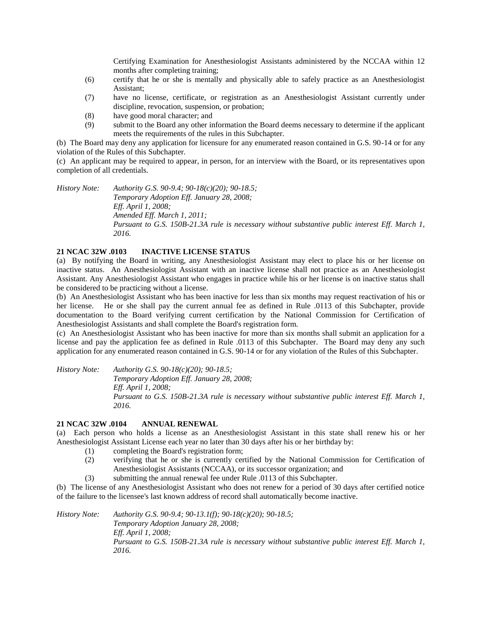Certifying Examination for Anesthesiologist Assistants administered by the NCCAA within 12 months after completing training;

- (6) certify that he or she is mentally and physically able to safely practice as an Anesthesiologist Assistant;
- (7) have no license, certificate, or registration as an Anesthesiologist Assistant currently under discipline, revocation, suspension, or probation;
- (8) have good moral character; and
- (9) submit to the Board any other information the Board deems necessary to determine if the applicant meets the requirements of the rules in this Subchapter.

(b) The Board may deny any application for licensure for any enumerated reason contained in G.S. 90-14 or for any violation of the Rules of this Subchapter.

(c) An applicant may be required to appear, in person, for an interview with the Board, or its representatives upon completion of all credentials.

*History Note: Authority G.S. 90-9.4; 90-18(c)(20); 90-18.5; Temporary Adoption Eff. January 28, 2008; Eff. April 1, 2008; Amended Eff. March 1, 2011; Pursuant to G.S. 150B-21.3A rule is necessary without substantive public interest Eff. March 1, 2016.*

## **21 NCAC 32W .0103 INACTIVE LICENSE STATUS**

(a) By notifying the Board in writing, any Anesthesiologist Assistant may elect to place his or her license on inactive status. An Anesthesiologist Assistant with an inactive license shall not practice as an Anesthesiologist Assistant. Any Anesthesiologist Assistant who engages in practice while his or her license is on inactive status shall be considered to be practicing without a license.

(b) An Anesthesiologist Assistant who has been inactive for less than six months may request reactivation of his or her license. He or she shall pay the current annual fee as defined in Rule .0113 of this Subchapter, provide documentation to the Board verifying current certification by the National Commission for Certification of Anesthesiologist Assistants and shall complete the Board's registration form.

(c) An Anesthesiologist Assistant who has been inactive for more than six months shall submit an application for a license and pay the application fee as defined in Rule .0113 of this Subchapter. The Board may deny any such application for any enumerated reason contained in G.S. 90-14 or for any violation of the Rules of this Subchapter.

*History Note: Authority G.S. 90-18(c)(20); 90-18.5; Temporary Adoption Eff. January 28, 2008; Eff. April 1, 2008; Pursuant to G.S. 150B-21.3A rule is necessary without substantive public interest Eff. March 1, 2016.*

#### **21 NCAC 32W .0104 ANNUAL RENEWAL**

(a) Each person who holds a license as an Anesthesiologist Assistant in this state shall renew his or her Anesthesiologist Assistant License each year no later than 30 days after his or her birthday by:

- (1) completing the Board's registration form;
- (2) verifying that he or she is currently certified by the National Commission for Certification of Anesthesiologist Assistants (NCCAA), or its successor organization; and
- (3) submitting the annual renewal fee under Rule .0113 of this Subchapter.

(b) The license of any Anesthesiologist Assistant who does not renew for a period of 30 days after certified notice of the failure to the licensee's last known address of record shall automatically become inactive.

*History Note: Authority G.S. 90-9.4; 90-13.1(f); 90-18(c)(20); 90-18.5; Temporary Adoption January 28, 2008; Eff. April 1, 2008; Pursuant to G.S. 150B-21.3A rule is necessary without substantive public interest Eff. March 1, 2016.*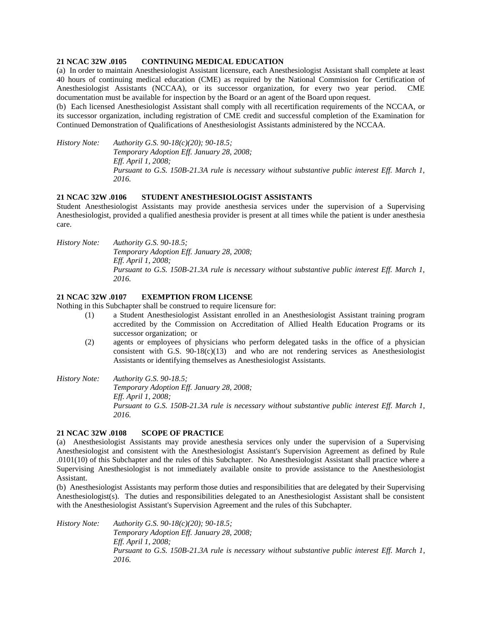#### **21 NCAC 32W .0105 CONTINUING MEDICAL EDUCATION**

(a) In order to maintain Anesthesiologist Assistant licensure, each Anesthesiologist Assistant shall complete at least 40 hours of continuing medical education (CME) as required by the National Commission for Certification of Anesthesiologist Assistants (NCCAA), or its successor organization, for every two year period. CME documentation must be available for inspection by the Board or an agent of the Board upon request.

(b) Each licensed Anesthesiologist Assistant shall comply with all recertification requirements of the NCCAA, or its successor organization, including registration of CME credit and successful completion of the Examination for Continued Demonstration of Qualifications of Anesthesiologist Assistants administered by the NCCAA.

*History Note: Authority G.S. 90-18(c)(20); 90-18.5; Temporary Adoption Eff. January 28, 2008; Eff. April 1, 2008; Pursuant to G.S. 150B-21.3A rule is necessary without substantive public interest Eff. March 1, 2016.*

#### **21 NCAC 32W .0106 STUDENT ANESTHESIOLOGIST ASSISTANTS**

Student Anesthesiologist Assistants may provide anesthesia services under the supervision of a Supervising Anesthesiologist, provided a qualified anesthesia provider is present at all times while the patient is under anesthesia care.

*History Note: Authority G.S. 90-18.5; Temporary Adoption Eff. January 28, 2008; Eff. April 1, 2008; Pursuant to G.S. 150B-21.3A rule is necessary without substantive public interest Eff. March 1, 2016.*

#### **21 NCAC 32W .0107 EXEMPTION FROM LICENSE**

Nothing in this Subchapter shall be construed to require licensure for:

- (1) a Student Anesthesiologist Assistant enrolled in an Anesthesiologist Assistant training program accredited by the Commission on Accreditation of Allied Health Education Programs or its successor organization; or
- (2) agents or employees of physicians who perform delegated tasks in the office of a physician consistent with G.S.  $90-18(c)(13)$  and who are not rendering services as Anesthesiologist Assistants or identifying themselves as Anesthesiologist Assistants.

*History Note: Authority G.S. 90-18.5;*

*Temporary Adoption Eff. January 28, 2008; Eff. April 1, 2008; Pursuant to G.S. 150B-21.3A rule is necessary without substantive public interest Eff. March 1, 2016.*

### **21 NCAC 32W .0108 SCOPE OF PRACTICE**

(a) Anesthesiologist Assistants may provide anesthesia services only under the supervision of a Supervising Anesthesiologist and consistent with the Anesthesiologist Assistant's Supervision Agreement as defined by Rule .0101(10) of this Subchapter and the rules of this Subchapter. No Anesthesiologist Assistant shall practice where a Supervising Anesthesiologist is not immediately available onsite to provide assistance to the Anesthesiologist Assistant.

(b) Anesthesiologist Assistants may perform those duties and responsibilities that are delegated by their Supervising Anesthesiologist(s). The duties and responsibilities delegated to an Anesthesiologist Assistant shall be consistent with the Anesthesiologist Assistant's Supervision Agreement and the rules of this Subchapter.

*History Note: Authority G.S. 90-18(c)(20); 90-18.5; Temporary Adoption Eff. January 28, 2008; Eff. April 1, 2008; Pursuant to G.S. 150B-21.3A rule is necessary without substantive public interest Eff. March 1, 2016.*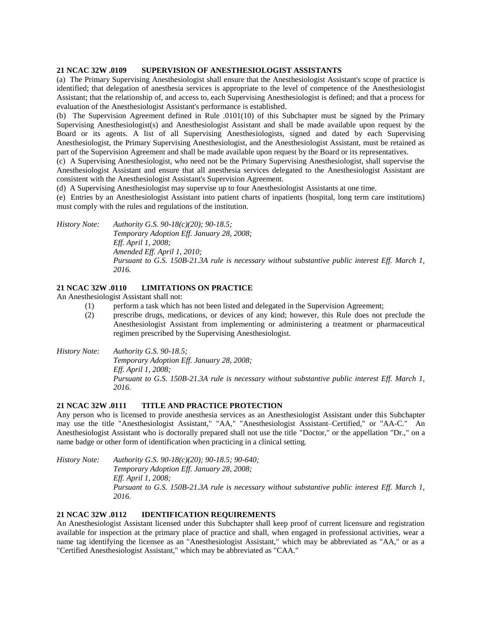#### **21 NCAC 32W .0109 SUPERVISION OF ANESTHESIOLOGIST ASSISTANTS**

(a) The Primary Supervising Anesthesiologist shall ensure that the Anesthesiologist Assistant's scope of practice is identified; that delegation of anesthesia services is appropriate to the level of competence of the Anesthesiologist Assistant; that the relationship of, and access to, each Supervising Anesthesiologist is defined; and that a process for evaluation of the Anesthesiologist Assistant's performance is established.

(b) The Supervision Agreement defined in Rule .0101(10) of this Subchapter must be signed by the Primary Supervising Anesthesiologist(s) and Anesthesiologist Assistant and shall be made available upon request by the Board or its agents. A list of all Supervising Anesthesiologists, signed and dated by each Supervising Anesthesiologist, the Primary Supervising Anesthesiologist, and the Anesthesiologist Assistant, must be retained as part of the Supervision Agreement and shall be made available upon request by the Board or its representatives.

(c) A Supervising Anesthesiologist, who need not be the Primary Supervising Anesthesiologist, shall supervise the Anesthesiologist Assistant and ensure that all anesthesia services delegated to the Anesthesiologist Assistant are consistent with the Anesthesiologist Assistant's Supervision Agreement.

(d) A Supervising Anesthesiologist may supervise up to four Anesthesiologist Assistants at one time.

(e) Entries by an Anesthesiologist Assistant into patient charts of inpatients (hospital, long term care institutions) must comply with the rules and regulations of the institution.

*History Note: Authority G.S. 90-18(c)(20); 90-18.5; Temporary Adoption Eff. January 28, 2008; Eff. April 1, 2008; Amended Eff. April 1, 2010; Pursuant to G.S. 150B-21.3A rule is necessary without substantive public interest Eff. March 1, 2016.*

# **21 NCAC 32W .0110 LIMITATIONS ON PRACTICE**

An Anesthesiologist Assistant shall not:

- (1) perform a task which has not been listed and delegated in the Supervision Agreement;
	- (2) prescribe drugs, medications, or devices of any kind; however, this Rule does not preclude the Anesthesiologist Assistant from implementing or administering a treatment or pharmaceutical regimen prescribed by the Supervising Anesthesiologist.
- *History Note: Authority G.S. 90-18.5; Temporary Adoption Eff. January 28, 2008; Eff. April 1, 2008; Pursuant to G.S. 150B-21.3A rule is necessary without substantive public interest Eff. March 1, 2016.*

#### **21 NCAC 32W .0111 TITLE AND PRACTICE PROTECTION**

Any person who is licensed to provide anesthesia services as an Anesthesiologist Assistant under this Subchapter may use the title "Anesthesiologist Assistant," "AA," "Anesthesiologist Assistant–Certified," or "AA-C." An Anesthesiologist Assistant who is doctorally prepared shall not use the title "Doctor," or the appellation "Dr.," on a name badge or other form of identification when practicing in a clinical setting.

*History Note: Authority G.S. 90-18(c)(20); 90-18.5; 90-640; Temporary Adoption Eff. January 28, 2008; Eff. April 1, 2008; Pursuant to G.S. 150B-21.3A rule is necessary without substantive public interest Eff. March 1, 2016.*

# **21 NCAC 32W .0112 IDENTIFICATION REQUIREMENTS**

An Anesthesiologist Assistant licensed under this Subchapter shall keep proof of current licensure and registration available for inspection at the primary place of practice and shall, when engaged in professional activities, wear a name tag identifying the licensee as an "Anesthesiologist Assistant," which may be abbreviated as "AA," or as a "Certified Anesthesiologist Assistant," which may be abbreviated as "CAA."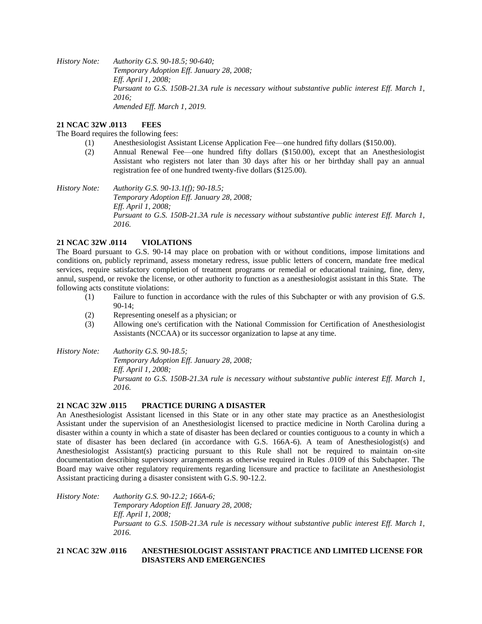*History Note: Authority G.S. 90-18.5; 90-640; Temporary Adoption Eff. January 28, 2008; Eff. April 1, 2008; Pursuant to G.S. 150B-21.3A rule is necessary without substantive public interest Eff. March 1, 2016; Amended Eff. March 1, 2019.*

## **21 NCAC 32W .0113 FEES**

The Board requires the following fees:

- (1) Anesthesiologist Assistant License Application Fee—one hundred fifty dollars (\$150.00).
- (2) Annual Renewal Fee—one hundred fifty dollars (\$150.00), except that an Anesthesiologist Assistant who registers not later than 30 days after his or her birthday shall pay an annual registration fee of one hundred twenty-five dollars (\$125.00).

*History Note: Authority G.S. 90-13.1(f); 90-18.5; Temporary Adoption Eff. January 28, 2008; Eff. April 1, 2008; Pursuant to G.S. 150B-21.3A rule is necessary without substantive public interest Eff. March 1, 2016.*

## **21 NCAC 32W .0114 VIOLATIONS**

The Board pursuant to G.S. 90-14 may place on probation with or without conditions, impose limitations and conditions on, publicly reprimand, assess monetary redress, issue public letters of concern, mandate free medical services, require satisfactory completion of treatment programs or remedial or educational training, fine, deny, annul, suspend, or revoke the license, or other authority to function as a anesthesiologist assistant in this State. The following acts constitute violations:

- (1) Failure to function in accordance with the rules of this Subchapter or with any provision of G.S. 90-14;
- (2) Representing oneself as a physician; or
- (3) Allowing one's certification with the National Commission for Certification of Anesthesiologist Assistants (NCCAA) or its successor organization to lapse at any time.

*History Note: Authority G.S. 90-18.5; Temporary Adoption Eff. January 28, 2008; Eff. April 1, 2008; Pursuant to G.S. 150B-21.3A rule is necessary without substantive public interest Eff. March 1, 2016.*

#### **21 NCAC 32W .0115 PRACTICE DURING A DISASTER**

An Anesthesiologist Assistant licensed in this State or in any other state may practice as an Anesthesiologist Assistant under the supervision of an Anesthesiologist licensed to practice medicine in North Carolina during a disaster within a county in which a state of disaster has been declared or counties contiguous to a county in which a state of disaster has been declared (in accordance with G.S. 166A-6). A team of Anesthesiologist(s) and Anesthesiologist Assistant(s) practicing pursuant to this Rule shall not be required to maintain on-site documentation describing supervisory arrangements as otherwise required in Rules .0109 of this Subchapter. The Board may waive other regulatory requirements regarding licensure and practice to facilitate an Anesthesiologist Assistant practicing during a disaster consistent with G.S. 90-12.2.

*History Note: Authority G.S. 90-12.2; 166A-6; Temporary Adoption Eff. January 28, 2008; Eff. April 1, 2008; Pursuant to G.S. 150B-21.3A rule is necessary without substantive public interest Eff. March 1, 2016.*

## **21 NCAC 32W .0116 ANESTHESIOLOGIST ASSISTANT PRACTICE AND LIMITED LICENSE FOR DISASTERS AND EMERGENCIES**